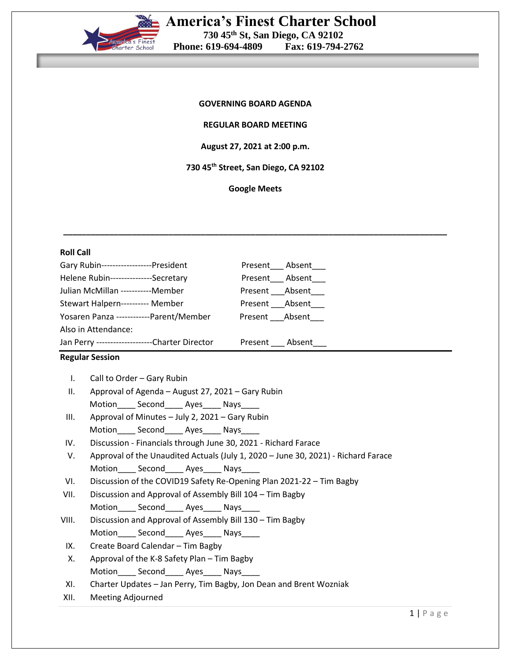

# **America's Finest Charter School 730 45th St, San Diego, CA 92102 Phone: 619-694-4809**

#### **GOVERNING BOARD AGENDA**

#### **REGULAR BOARD MEETING**

#### **August 27, 2021 at 2:00 p.m.**

**730 45th Street, San Diego, CA 92102**

**Google Meets**

**\_\_\_\_\_\_\_\_\_\_\_\_\_\_\_\_\_\_\_\_\_\_\_\_\_\_\_\_\_\_\_\_\_\_\_\_\_\_\_\_\_\_\_\_\_\_\_\_\_\_\_\_\_\_\_\_\_\_\_\_\_\_\_\_\_\_\_\_\_\_\_\_\_\_\_\_\_\_\_\_\_\_\_\_**

### **Roll Call**

| Gary Rubin------------------President           | Present Absent |
|-------------------------------------------------|----------------|
| Helene Rubin---------------Secretary            | Present Absent |
| Julian McMillan -----------Member               | Present Absent |
| Stewart Halpern---------- Member                | Present Absent |
| Yosaren Panza ------------Parent/Member         | Present Absent |
| Also in Attendance:                             |                |
| Jan Perry ---------------------Charter Director | Present Absent |

#### **Regular Session**

| Call to Order – Gary Rubin                            |
|-------------------------------------------------------|
| II. Approval of Agenda - August 27, 2021 - Gary Rubin |

- Motion Second Ayes Nays
- III. Approval of Minutes July 2, 2021 Gary Rubin Motion\_\_\_\_ Second\_\_\_\_ Ayes\_\_\_\_ Nays\_\_\_\_
- IV. Discussion Financials through June 30, 2021 Richard Farace
- V. Approval of the Unaudited Actuals (July 1, 2020 June 30, 2021) Richard Farace Motion Second Ayes Nays
- VI. Discussion of the COVID19 Safety Re-Opening Plan 2021-22 Tim Bagby
- VII. Discussion and Approval of Assembly Bill 104 Tim Bagby Motion Second Ayes Nays
- VIII. Discussion and Approval of Assembly Bill 130 Tim Bagby Motion Second Ayes Nays
- IX. Create Board Calendar Tim Bagby
- X. Approval of the K-8 Safety Plan Tim Bagby Motion\_\_\_\_\_ Second\_\_\_\_\_ Ayes\_\_\_\_\_ Nays
- XI. Charter Updates Jan Perry, Tim Bagby, Jon Dean and Brent Wozniak
- XII. Meeting Adjourned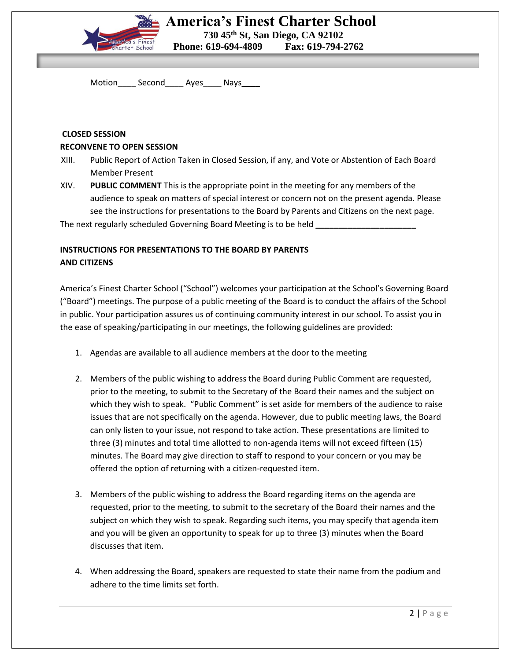

Motion\_\_\_\_ Second\_\_\_\_ Ayes\_\_\_\_ Nays**\_\_\_\_**

### **CLOSED SESSION**

### **RECONVENE TO OPEN SESSION**

- XIII. Public Report of Action Taken in Closed Session, if any, and Vote or Abstention of Each Board Member Present
- XIV. **PUBLIC COMMENT** This is the appropriate point in the meeting for any members of the audience to speak on matters of special interest or concern not on the present agenda. Please see the instructions for presentations to the Board by Parents and Citizens on the next page.

The next regularly scheduled Governing Board Meeting is to be held **\_\_\_\_\_\_\_\_\_\_\_\_\_\_\_\_\_\_\_\_\_\_**

## **INSTRUCTIONS FOR PRESENTATIONS TO THE BOARD BY PARENTS AND CITIZENS**

America's Finest Charter School ("School") welcomes your participation at the School's Governing Board ("Board") meetings. The purpose of a public meeting of the Board is to conduct the affairs of the School in public. Your participation assures us of continuing community interest in our school. To assist you in the ease of speaking/participating in our meetings, the following guidelines are provided:

- 1. Agendas are available to all audience members at the door to the meeting
- 2. Members of the public wishing to address the Board during Public Comment are requested, prior to the meeting, to submit to the Secretary of the Board their names and the subject on which they wish to speak. "Public Comment" is set aside for members of the audience to raise issues that are not specifically on the agenda. However, due to public meeting laws, the Board can only listen to your issue, not respond to take action. These presentations are limited to three (3) minutes and total time allotted to non-agenda items will not exceed fifteen (15) minutes. The Board may give direction to staff to respond to your concern or you may be offered the option of returning with a citizen-requested item.
- 3. Members of the public wishing to address the Board regarding items on the agenda are requested, prior to the meeting, to submit to the secretary of the Board their names and the subject on which they wish to speak. Regarding such items, you may specify that agenda item and you will be given an opportunity to speak for up to three (3) minutes when the Board discusses that item.
- 4. When addressing the Board, speakers are requested to state their name from the podium and adhere to the time limits set forth.